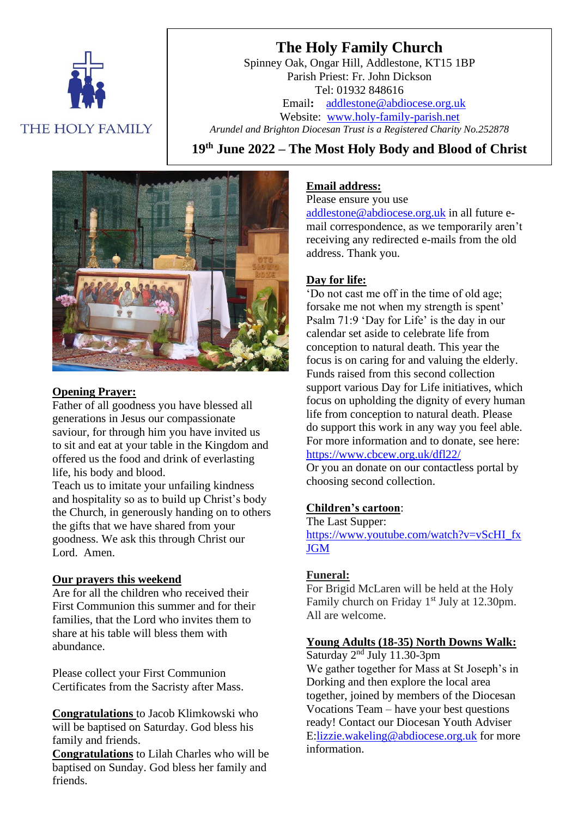

# **The Holy Family Church**

Spinney Oak, Ongar Hill, Addlestone, KT15 1BP Parish Priest: Fr. John Dickson Tel: 01932 848616 Email**:** [addlestone@abdiocese.org.uk](mailto:addlestone@abdiocese.org.uk) Website: [www.holy-family-parish.net](http://www.holy-family-parish.net/) *Arundel and Brighton Diocesan Trust is a Registered Charity No.252878*

**19 th June 2022 – The Most Holy Body and Blood of Christ**



#### **Opening Prayer:**

Father of all goodness you have blessed all generations in Jesus our compassionate saviour, for through him you have invited us to sit and eat at your table in the Kingdom and offered us the food and drink of everlasting life, his body and blood.

Teach us to imitate your unfailing kindness and hospitality so as to build up Christ's body the Church, in generously handing on to others the gifts that we have shared from your goodness. We ask this through Christ our Lord. Amen.

# **Our prayers this weekend**

Are for all the children who received their First Communion this summer and for their families, that the Lord who invites them to share at his table will bless them with abundance.

Please collect your First Communion Certificates from the Sacristy after Mass.

**Congratulations** to Jacob Klimkowski who will be baptised on Saturday. God bless his family and friends.

**Congratulations** to Lilah Charles who will be baptised on Sunday. God bless her family and friends.

#### **Email address:**

Please ensure you use

[addlestone@abdiocese.org.uk](mailto:addlestone@abdiocese.org.uk) in all future email correspondence, as we temporarily aren't receiving any redirected e-mails from the old address. Thank you.

# **Day for life:**

'Do not cast me off in the time of old age; forsake me not when my strength is spent' Psalm 71:9 'Day for Life' is the day in our calendar set aside to celebrate life from conception to natural death. This year the focus is on caring for and valuing the elderly. Funds raised from this second collection support various Day for Life initiatives, which focus on upholding the dignity of every human life from conception to natural death. Please do support this work in any way you feel able. For more information and to donate, see here: <https://www.cbcew.org.uk/dfl22/>

Or you an donate on our contactless portal by choosing second collection.

#### **Children's cartoon**:

The Last Supper: [https://www.youtube.com/watch?v=vScHI\\_fx](https://eur02.safelinks.protection.outlook.com/?url=https%3A%2F%2Fwww.youtube.com%2Fwatch%3Fv%3DvScHI_fxJGM&data=05%7C01%7Caddlestone%40abdiocese.org.uk%7Cc1e9399df5f04619f75308da4bbf16ec%7C2bf5dbc217ef4efca1c9ab2dc4edefd0%7C0%7C0%7C637905581337608802%7CUnknown%7CTWFpbGZsb3d8eyJWIjoiMC4wLjAwMDAiLCJQIjoiV2luMzIiLCJBTiI6Ik1haWwiLCJXVCI6Mn0%3D%7C3000%7C%7C%7C&sdata=Io3pUJ2L9KUSSGnZ2xy3bfEjWgwAd1GPKiggNUFg3jI%3D&reserved=0) **[JGM](https://eur02.safelinks.protection.outlook.com/?url=https%3A%2F%2Fwww.youtube.com%2Fwatch%3Fv%3DvScHI_fxJGM&data=05%7C01%7Caddlestone%40abdiocese.org.uk%7Cc1e9399df5f04619f75308da4bbf16ec%7C2bf5dbc217ef4efca1c9ab2dc4edefd0%7C0%7C0%7C637905581337608802%7CUnknown%7CTWFpbGZsb3d8eyJWIjoiMC4wLjAwMDAiLCJQIjoiV2luMzIiLCJBTiI6Ik1haWwiLCJXVCI6Mn0%3D%7C3000%7C%7C%7C&sdata=Io3pUJ2L9KUSSGnZ2xy3bfEjWgwAd1GPKiggNUFg3jI%3D&reserved=0)** 

#### **Funeral:**

For Brigid McLaren will be held at the Holy Family church on Friday 1<sup>st</sup> July at 12.30pm. All are welcome.

#### **Young Adults (18-35) North Downs Walk:**

Saturday 2<sup>nd</sup> July 11.30-3pm

We gather together for Mass at St Joseph's in Dorking and then explore the local area together, joined by members of the Diocesan Vocations Team – have your best questions ready! Contact our Diocesan Youth Adviser E[:lizzie.wakeling@abdiocese.org.uk](mailto:lizzie.wakeling@abdiocese.org.uk) for more information.